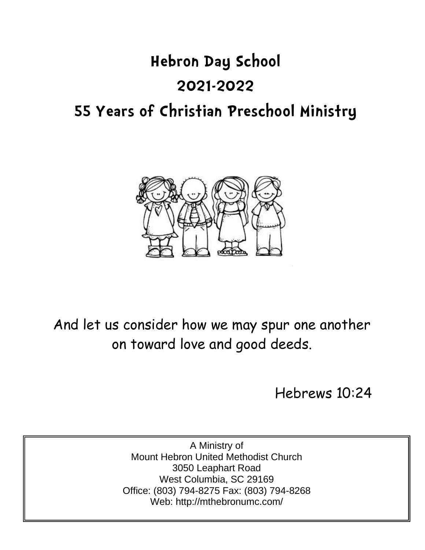# **Hebron Day School**

## **2021-2022**

## **55 Years of Christian Preschool Ministry**



And let us consider how we may spur one another on toward love and good deeds.

Hebrews 10:24

A Ministry of Mount Hebron United Methodist Church 3050 Leaphart Road West Columbia, SC 29169 Office: (803) 794-8275 Fax: (803) 794-8268 Web: http://mthebronumc.com/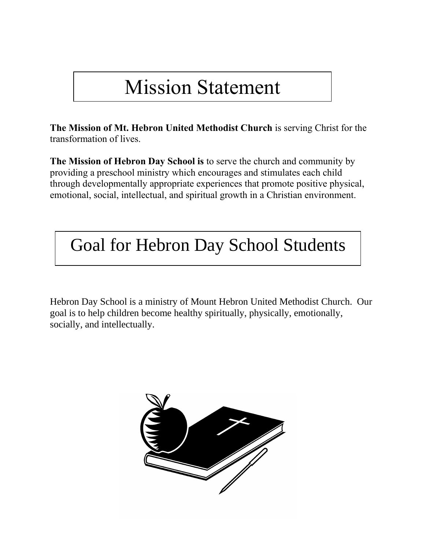## Mission Statement

**The Mission of Mt. Hebron United Methodist Church** is serving Christ for the transformation of lives.

**The Mission of Hebron Day School is** to serve the church and community by providing a preschool ministry which encourages and stimulates each child through developmentally appropriate experiences that promote positive physical, emotional, social, intellectual, and spiritual growth in a Christian environment.

## Goal for Hebron Day School Students

Hebron Day School is a ministry of Mount Hebron United Methodist Church. Our goal is to help children become healthy spiritually, physically, emotionally, socially, and intellectually.

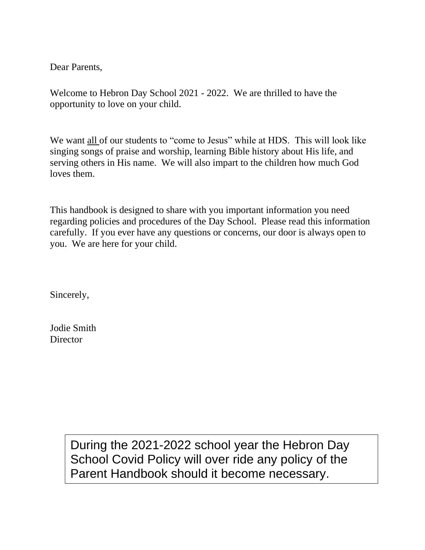Dear Parents,

Welcome to Hebron Day School 2021 - 2022. We are thrilled to have the opportunity to love on your child.

We want all of our students to "come to Jesus" while at HDS. This will look like singing songs of praise and worship, learning Bible history about His life, and serving others in His name. We will also impart to the children how much God loves them.

This handbook is designed to share with you important information you need regarding policies and procedures of the Day School. Please read this information carefully. If you ever have any questions or concerns, our door is always open to you. We are here for your child.

Sincerely,

Jodie Smith **Director** 

> During the 2021-2022 school year the Hebron Day School Covid Policy will over ride any policy of the Parent Handbook should it become necessary.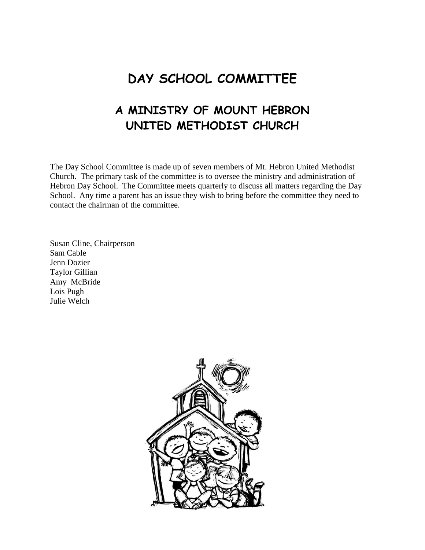## **DAY SCHOOL COMMITTEE**

## **A MINISTRY OF MOUNT HEBRON UNITED METHODIST CHURCH**

The Day School Committee is made up of seven members of Mt. Hebron United Methodist Church. The primary task of the committee is to oversee the ministry and administration of Hebron Day School. The Committee meets quarterly to discuss all matters regarding the Day School. Any time a parent has an issue they wish to bring before the committee they need to contact the chairman of the committee.

Susan Cline, Chairperson Sam Cable Jenn Dozier Taylor Gillian Amy McBride Lois Pugh Julie Welch

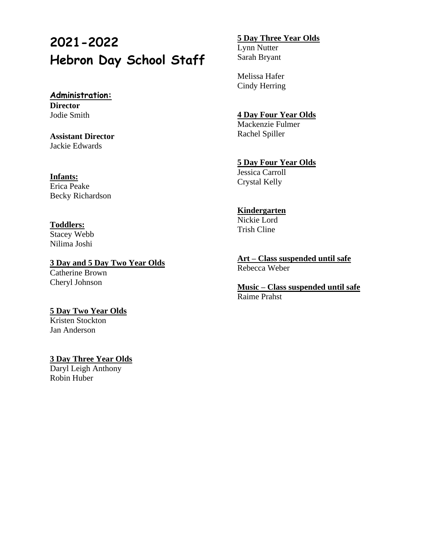## **2021-2022 Hebron Day School Staff**

#### **Administration: Director** Jodie Smith

**Assistant Director** Jackie Edwards

#### **Infants:**

Erica Peake Becky Richardson

### **Toddlers:**

Stacey Webb Nilima Joshi

#### **3 Day and 5 Day Two Year Olds** Catherine Brown Cheryl Johnson

## **5 Day Two Year Olds**

Kristen Stockton Jan Anderson

#### **3 Day Three Year Olds**

Daryl Leigh Anthony Robin Huber

### **5 Day Three Year Olds**

Lynn Nutter Sarah Bryant

Melissa Hafer Cindy Herring

### **4 Day Four Year Olds**

Mackenzie Fulmer Rachel Spiller

### **5 Day Four Year Olds**

Jessica Carroll Crystal Kelly

### **Kindergarten**

Nickie Lord Trish Cline

**Art – Class suspended until safe** Rebecca Weber

**Music – Class suspended until safe** Raime Prahst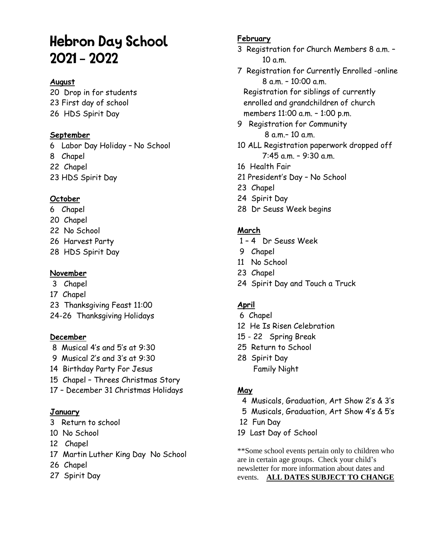## **Hebron Day School**  $2021 - 2022$

### **August**

20 Drop in for students 23 First day of school 26 HDS Spirit Day

### **September**

6 Labor Day Holiday – No School 8 Chapel 22 Chapel 23 HDS Spirit Day

### **October**

- 6 Chapel
- 20 Chapel
- 22 No School
- 26 Harvest Party
- 28 HDS Spirit Day

### **November**

- 3 Chapel
- 17 Chapel
- 23 Thanksgiving Feast 11:00
- 24-26 Thanksgiving Holidays

### **December**

- 8 Musical 4's and 5's at 9:30
- 9 Musical 2's and 3's at 9:30
- 14 Birthday Party For Jesus
- 15 Chapel Threes Christmas Story
- 17 December 31 Christmas Holidays

### **January**

- 3 Return to school
- 10 No School
- 12 Chapel
- 17 Martin Luther King Day No School
- 26 Chapel
- 27 Spirit Day

### **February**

- 3 Registration for Church Members 8 a.m. 10 a.m.
- 7 Registration for Currently Enrolled -online 8 a.m. – 10:00 a.m.

Registration for siblings of currently enrolled and grandchildren of church members 11:00 a.m. – 1:00 p.m.

- 9 Registration for Community 8 a.m.– 10 a.m.
- 10 ALL Registration paperwork dropped off 7:45 a.m. – 9:30 a.m.
- 16 Health Fair
- 21 President's Day No School
- 23 Chapel
- 24 Spirit Day
- 28 Dr Seuss Week begins

### **March**

- 1 4 Dr Seuss Week
- 9 Chapel
- 11 No School
- 23 Chapel
- 24 Spirit Day and Touch a Truck

### **April**

- 6 Chapel
- 12 He Is Risen Celebration
- 15 22 Spring Break
- 25 Return to School
- 28 Spirit Day Family Night

### **May**

- 4 Musicals, Graduation, Art Show 2's & 3's
- 5 Musicals, Graduation, Art Show 4's & 5's
- 12 Fun Day
- 19 Last Day of School

\*\*Some school events pertain only to children who are in certain age groups. Check your child's newsletter for more information about dates and events. **ALL DATES SUBJECT TO CHANGE**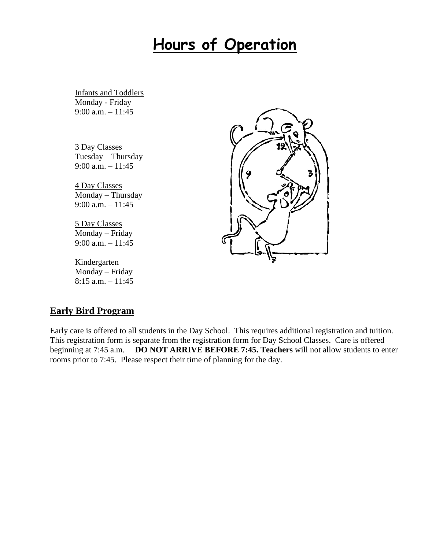## **Hours of Operation**

Infants and Toddlers Monday - Friday 9:00 a.m.  $-11:45$ 

3 Day Classes Tuesday – Thursday 9:00 a.m. – 11:45

4 Day Classes Monday – Thursday 9:00 a.m. – 11:45

5 Day Classes Monday – Friday 9:00 a.m. – 11:45

**Kindergarten** Monday – Friday  $8:15$  a.m.  $-11:45$ 



### **Early Bird Program**

Early care is offered to all students in the Day School. This requires additional registration and tuition. This registration form is separate from the registration form for Day School Classes. Care is offered beginning at 7:45 a.m. **DO NOT ARRIVE BEFORE 7:45. Teachers** will not allow students to enter rooms prior to 7:45. Please respect their time of planning for the day.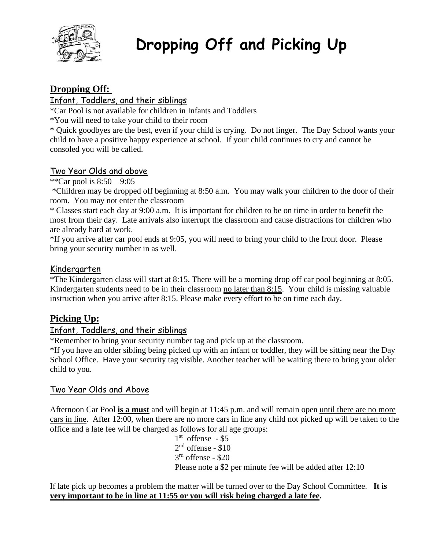

## **Dropping Off and Picking Up**

## **Dropping Off:**

## Infant, Toddlers, and their siblings

\*Car Pool is not available for children in Infants and Toddlers

\*You will need to take your child to their room

\* Quick goodbyes are the best, even if your child is crying. Do not linger. The Day School wants your child to have a positive happy experience at school. If your child continues to cry and cannot be consoled you will be called.

## Two Year Olds and above

\*\*Car pool is  $8:50 - 9:05$ 

\*Children may be dropped off beginning at 8:50 a.m. You may walk your children to the door of their room. You may not enter the classroom

\* Classes start each day at 9:00 a.m. It is important for children to be on time in order to benefit the most from their day. Late arrivals also interrupt the classroom and cause distractions for children who are already hard at work.

\*If you arrive after car pool ends at 9:05, you will need to bring your child to the front door. Please bring your security number in as well.

### Kindergarten

\*The Kindergarten class will start at 8:15. There will be a morning drop off car pool beginning at 8:05. Kindergarten students need to be in their classroom no later than 8:15. Your child is missing valuable instruction when you arrive after 8:15. Please make every effort to be on time each day.

## **Picking Up:**

### Infant, Toddlers, and their siblings

\*Remember to bring your security number tag and pick up at the classroom.

\*If you have an older sibling being picked up with an infant or toddler, they will be sitting near the Day School Office. Have your security tag visible. Another teacher will be waiting there to bring your older child to you.

### Two Year Olds and Above

Afternoon Car Pool **is a must** and will begin at 11:45 p.m. and will remain open until there are no more cars in line. After 12:00, when there are no more cars in line any child not picked up will be taken to the office and a late fee will be charged as follows for all age groups:

1 st offense - \$5  $2<sup>nd</sup>$  offense - \$10 3 rd offense - \$20 Please note a \$2 per minute fee will be added after 12:10

If late pick up becomes a problem the matter will be turned over to the Day School Committee. **It is very important to be in line at 11:55 or you will risk being charged a late fee.**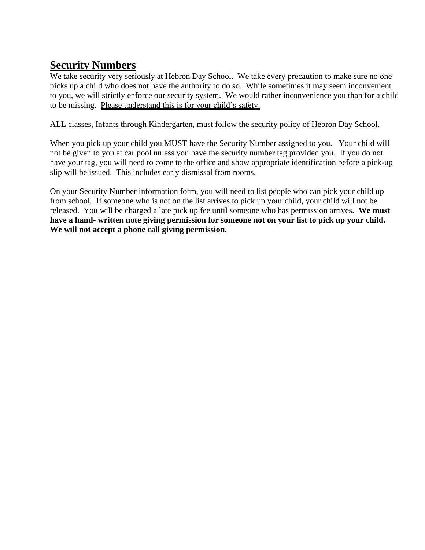## **Security Numbers**

We take security very seriously at Hebron Day School. We take every precaution to make sure no one picks up a child who does not have the authority to do so. While sometimes it may seem inconvenient to you, we will strictly enforce our security system. We would rather inconvenience you than for a child to be missing. Please understand this is for your child's safety.

ALL classes, Infants through Kindergarten, must follow the security policy of Hebron Day School.

When you pick up your child you MUST have the Security Number assigned to you. Your child will not be given to you at car pool unless you have the security number tag provided you. If you do not have your tag, you will need to come to the office and show appropriate identification before a pick-up slip will be issued. This includes early dismissal from rooms.

On your Security Number information form, you will need to list people who can pick your child up from school. If someone who is not on the list arrives to pick up your child, your child will not be released. You will be charged a late pick up fee until someone who has permission arrives. **We must have a hand- written note giving permission for someone not on your list to pick up your child. We will not accept a phone call giving permission.**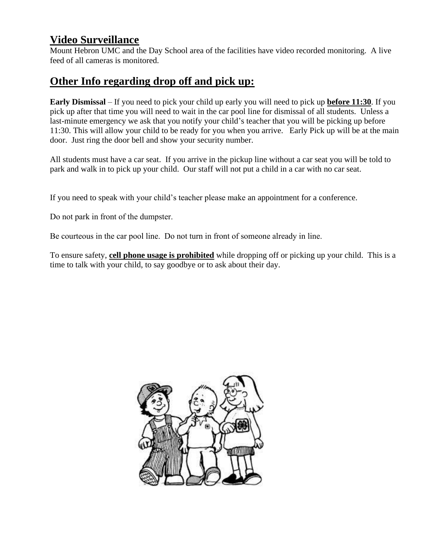## **Video Surveillance**

Mount Hebron UMC and the Day School area of the facilities have video recorded monitoring. A live feed of all cameras is monitored.

## **Other Info regarding drop off and pick up:**

**Early Dismissal** – If you need to pick your child up early you will need to pick up **before 11:30**. If you pick up after that time you will need to wait in the car pool line for dismissal of all students. Unless a last-minute emergency we ask that you notify your child's teacher that you will be picking up before 11:30. This will allow your child to be ready for you when you arrive. Early Pick up will be at the main door. Just ring the door bell and show your security number.

All students must have a car seat. If you arrive in the pickup line without a car seat you will be told to park and walk in to pick up your child. Our staff will not put a child in a car with no car seat.

If you need to speak with your child's teacher please make an appointment for a conference.

Do not park in front of the dumpster.

Be courteous in the car pool line. Do not turn in front of someone already in line.

To ensure safety, **cell phone usage is prohibited** while dropping off or picking up your child. This is a time to talk with your child, to say goodbye or to ask about their day.

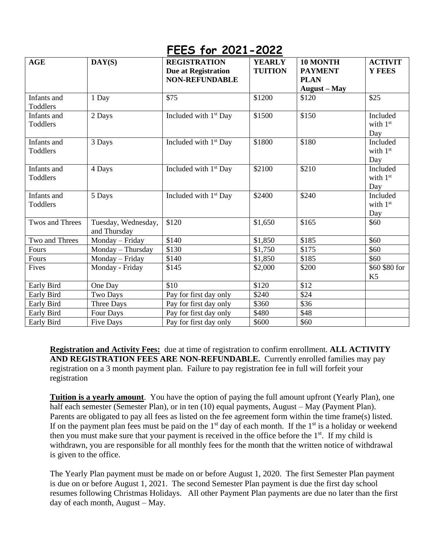## **FEES for 2021-2022**

| AGE                            | DAY(S)                              | <b>REGISTRATION</b><br><b>Due at Registration</b><br><b>NON-REFUNDABLE</b> | <b>YEARLY</b><br><b>TUITION</b> | 10 MONTH<br><b>PAYMENT</b><br><b>PLAN</b> | <b>ACTIVIT</b><br>Y FEES        |
|--------------------------------|-------------------------------------|----------------------------------------------------------------------------|---------------------------------|-------------------------------------------|---------------------------------|
| Infants and<br>Toddlers        | 1 Day                               | \$75                                                                       | \$1200                          | August – May<br>\$120                     | \$25                            |
| Infants and<br>Toddlers        | 2 Days                              | Included with 1 <sup>st</sup> Day                                          | \$1500                          | \$150                                     | Included<br>with $1st$<br>Day   |
| Infants and<br>Toddlers        | 3 Days                              | Included with $1st$ Day                                                    | \$1800                          | \$180                                     | Included<br>with 1st<br>Day     |
| Infants and<br><b>Toddlers</b> | 4 Days                              | Included with $1st$ Day                                                    | \$2100                          | \$210                                     | Included<br>with 1st<br>Day     |
| Infants and<br>Toddlers        | 5 Days                              | Included with 1 <sup>st</sup> Day                                          | \$2400                          | \$240                                     | Included<br>with 1st<br>Day     |
| Twos and Threes                | Tuesday, Wednesday,<br>and Thursday | \$120                                                                      | \$1,650                         | \$165                                     | \$60                            |
| Two and Threes                 | Monday - Friday                     | \$140                                                                      | \$1,850                         | \$185                                     | \$60                            |
| Fours                          | Monday - Thursday                   | \$130                                                                      | \$1,750                         | \$175                                     | \$60                            |
| Fours                          | Monday - Friday                     | \$140                                                                      | \$1,850                         | \$185                                     | \$60                            |
| Fives                          | Monday - Friday                     | \$145                                                                      | \$2,000                         | \$200                                     | \$60 \$80 for<br>K <sub>5</sub> |
| Early Bird                     | One Day                             | \$10                                                                       | \$120                           | \$12                                      |                                 |
| Early Bird                     | Two Days                            | Pay for first day only                                                     | \$240                           | \$24                                      |                                 |
| Early Bird                     | Three Days                          | Pay for first day only                                                     | \$360                           | \$36                                      |                                 |
| Early Bird                     | Four Days                           | Pay for first day only                                                     | \$480                           | \$48                                      |                                 |
| Early Bird                     | <b>Five Days</b>                    | Pay for first day only                                                     | \$600                           | \$60                                      |                                 |

**Registration and Activity Fees:** due at time of registration to confirm enrollment. **ALL ACTIVITY AND REGISTRATION FEES ARE NON-REFUNDABLE.** Currently enrolled families may pay registration on a 3 month payment plan. Failure to pay registration fee in full will forfeit your registration

**Tuition is a yearly amount**. You have the option of paying the full amount upfront (Yearly Plan), one half each semester (Semester Plan), or in ten (10) equal payments, August – May (Payment Plan). Parents are obligated to pay all fees as listed on the fee agreement form within the time frame(s) listed. If on the payment plan fees must be paid on the  $1<sup>st</sup>$  day of each month. If the  $1<sup>st</sup>$  is a holiday or weekend then you must make sure that your payment is received in the office before the  $1<sup>st</sup>$ . If my child is withdrawn, you are responsible for all monthly fees for the month that the written notice of withdrawal is given to the office.

The Yearly Plan payment must be made on or before August 1, 2020. The first Semester Plan payment is due on or before August 1, 2021. The second Semester Plan payment is due the first day school resumes following Christmas Holidays. All other Payment Plan payments are due no later than the first day of each month, August – May.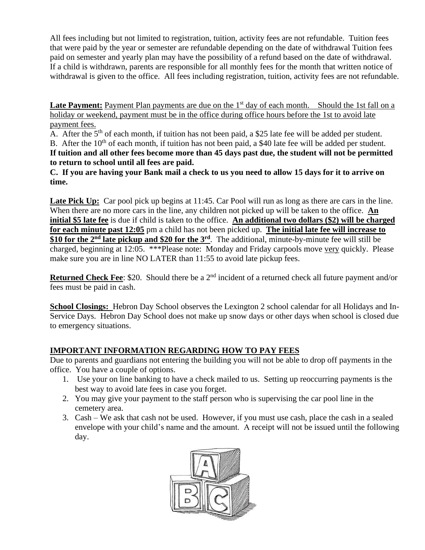All fees including but not limited to registration, tuition, activity fees are not refundable. Tuition fees that were paid by the year or semester are refundable depending on the date of withdrawal Tuition fees paid on semester and yearly plan may have the possibility of a refund based on the date of withdrawal. If a child is withdrawn, parents are responsible for all monthly fees for the month that written notice of withdrawal is given to the office. All fees including registration, tuition, activity fees are not refundable.

Late Payment: Payment Plan payments are due on the 1<sup>st</sup> day of each month. Should the 1st fall on a holiday or weekend, payment must be in the office during office hours before the 1st to avoid late payment fees.

A. After the  $5<sup>th</sup>$  of each month, if tuition has not been paid, a \$25 late fee will be added per student. B. After the 10<sup>th</sup> of each month, if tuition has not been paid, a \$40 late fee will be added per student. **If tuition and all other fees become more than 45 days past due, the student will not be permitted to return to school until all fees are paid.** 

**C. If you are having your Bank mail a check to us you need to allow 15 days for it to arrive on time.** 

**Late Pick Up:** Car pool pick up begins at 11:45. Car Pool will run as long as there are cars in the line. When there are no more cars in the line, any children not picked up will be taken to the office. **An initial \$5 late fee** is due if child is taken to the office. **An additional two dollars (\$2) will be charged for each minute past 12:05** pm a child has not been picked up. **The initial late fee will increase to \$10 for the 2nd late pickup and \$20 for the 3rd** . The additional, minute-by-minute fee will still be charged, beginning at 12:05. \*\*\*Please note: Monday and Friday carpools move very quickly. Please make sure you are in line NO LATER than 11:55 to avoid late pickup fees.

**Returned Check Fee**: \$20. Should there be a 2<sup>nd</sup> incident of a returned check all future payment and/or fees must be paid in cash.

**School Closings:** Hebron Day School observes the Lexington 2 school calendar for all Holidays and In-Service Days. Hebron Day School does not make up snow days or other days when school is closed due to emergency situations.

### **IMPORTANT INFORMATION REGARDING HOW TO PAY FEES**

Due to parents and guardians not entering the building you will not be able to drop off payments in the office. You have a couple of options.

- 1. Use your on line banking to have a check mailed to us. Setting up reoccurring payments is the best way to avoid late fees in case you forget.
- 2. You may give your payment to the staff person who is supervising the car pool line in the cemetery area.
- 3. Cash We ask that cash not be used. However, if you must use cash, place the cash in a sealed envelope with your child's name and the amount. A receipt will not be issued until the following day.

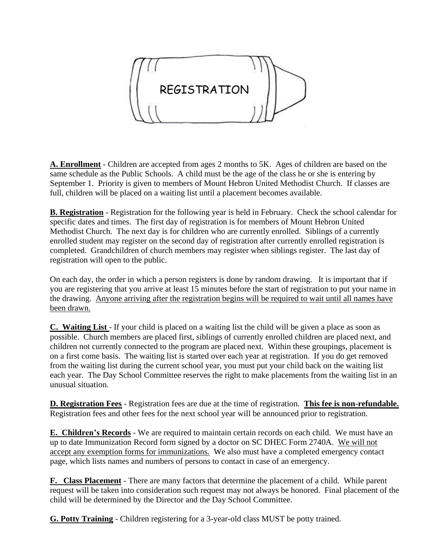

**A. Enrollment** - Children are accepted from ages 2 months to 5K. Ages of children are based on the same schedule as the Public Schools. A child must be the age of the class he or she is entering by September 1. Priority is given to members of Mount Hebron United Methodist Church. If classes are full, children will be placed on a waiting list until a placement becomes available.

**B. Registration** - Registration for the following year is held in February. Check the school calendar for specific dates and times. The first day of registration is for members of Mount Hebron United Methodist Church. The next day is for children who are currently enrolled. Siblings of a currently enrolled student may register on the second day of registration after currently enrolled registration is completed. Grandchildren of church members may register when siblings register. The last day of registration will open to the public.

On each day, the order in which a person registers is done by random drawing. It is important that if you are registering that you arrive at least 15 minutes before the start of registration to put your name in the drawing. Anyone arriving after the registration begins will be required to wait until all names have been drawn.

**C. Waiting List** - If your child is placed on a waiting list the child will be given a place as soon as possible. Church members are placed first, siblings of currently enrolled children are placed next, and children not currently connected to the program are placed next. Within these groupings, placement is on a first come basis. The waiting list is started over each year at registration. If you do get removed from the waiting list during the current school year, you must put your child back on the waiting list each year. The Day School Committee reserves the right to make placements from the waiting list in an unusual situation.

**D. Registration Fees** - Registration fees are due at the time of registration. **This fee is non-refundable.** Registration fees and other fees for the next school year will be announced prior to registration.

**E. Children's Records** - We are required to maintain certain records on each child. We must have an up to date Immunization Record form signed by a doctor on SC DHEC Form 2740A. We will not accept any exemption forms for immunizations. We also must have a completed emergency contact page, which lists names and numbers of persons to contact in case of an emergency.

**F. Class Placement** - There are many factors that determine the placement of a child. While parent request will be taken into consideration such request may not always be honored. Final placement of the child will be determined by the Director and the Day School Committee.

**G. Potty Training** - Children registering for a 3-year-old class MUST be potty trained.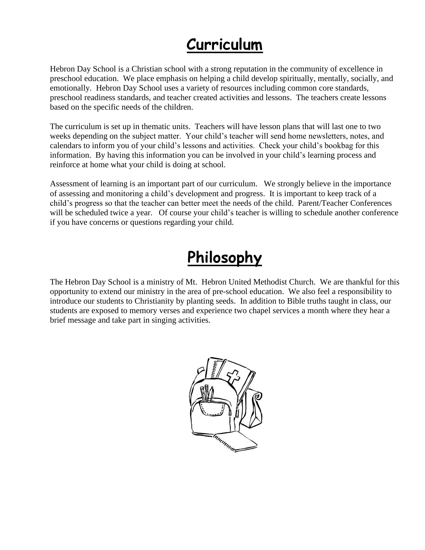## **Curriculum**

Hebron Day School is a Christian school with a strong reputation in the community of excellence in preschool education. We place emphasis on helping a child develop spiritually, mentally, socially, and emotionally. Hebron Day School uses a variety of resources including common core standards, preschool readiness standards, and teacher created activities and lessons. The teachers create lessons based on the specific needs of the children.

The curriculum is set up in thematic units. Teachers will have lesson plans that will last one to two weeks depending on the subject matter. Your child's teacher will send home newsletters, notes, and calendars to inform you of your child's lessons and activities. Check your child's bookbag for this information. By having this information you can be involved in your child's learning process and reinforce at home what your child is doing at school.

Assessment of learning is an important part of our curriculum. We strongly believe in the importance of assessing and monitoring a child's development and progress. It is important to keep track of a child's progress so that the teacher can better meet the needs of the child. Parent/Teacher Conferences will be scheduled twice a year. Of course your child's teacher is willing to schedule another conference if you have concerns or questions regarding your child.

## **Philosophy**

The Hebron Day School is a ministry of Mt. Hebron United Methodist Church. We are thankful for this opportunity to extend our ministry in the area of pre-school education. We also feel a responsibility to introduce our students to Christianity by planting seeds. In addition to Bible truths taught in class, our students are exposed to memory verses and experience two chapel services a month where they hear a brief message and take part in singing activities.

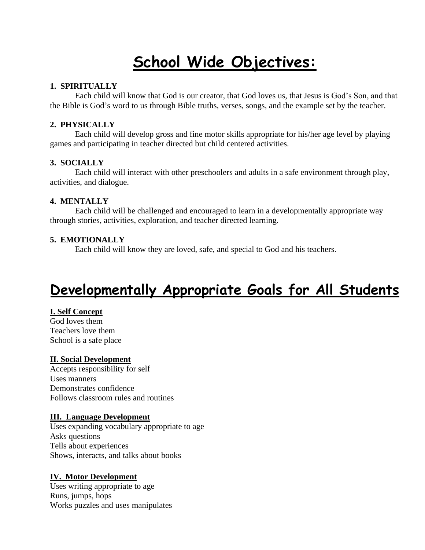## **School Wide Objectives:**

#### **1. SPIRITUALLY**

Each child will know that God is our creator, that God loves us, that Jesus is God's Son, and that the Bible is God's word to us through Bible truths, verses, songs, and the example set by the teacher.

#### **2. PHYSICALLY**

Each child will develop gross and fine motor skills appropriate for his/her age level by playing games and participating in teacher directed but child centered activities.

#### **3. SOCIALLY**

Each child will interact with other preschoolers and adults in a safe environment through play, activities, and dialogue.

#### **4. MENTALLY**

Each child will be challenged and encouraged to learn in a developmentally appropriate way through stories, activities, exploration, and teacher directed learning.

### **5. EMOTIONALLY**

Each child will know they are loved, safe, and special to God and his teachers.

## **Developmentally Appropriate Goals for All Students**

#### **I. Self Concept**

God loves them Teachers love them School is a safe place

#### **II. Social Development**

Accepts responsibility for self Uses manners Demonstrates confidence Follows classroom rules and routines

#### **III. Language Development**

Uses expanding vocabulary appropriate to age Asks questions Tells about experiences Shows, interacts, and talks about books

#### **IV. Motor Development**

Uses writing appropriate to age Runs, jumps, hops Works puzzles and uses manipulates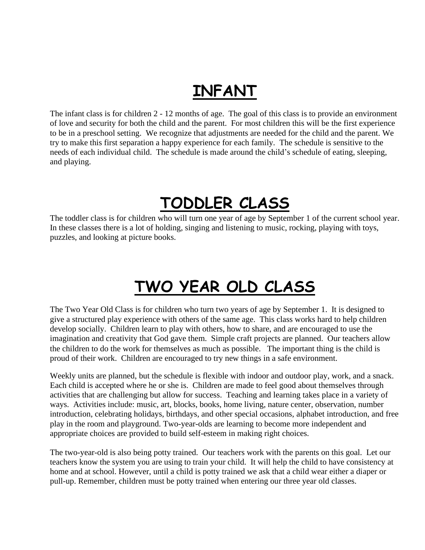## **INFANT**

The infant class is for children 2 - 12 months of age. The goal of this class is to provide an environment of love and security for both the child and the parent. For most children this will be the first experience to be in a preschool setting. We recognize that adjustments are needed for the child and the parent. We try to make this first separation a happy experience for each family. The schedule is sensitive to the needs of each individual child. The schedule is made around the child's schedule of eating, sleeping, and playing.

## **TODDLER CLASS**

The toddler class is for children who will turn one year of age by September 1 of the current school year. In these classes there is a lot of holding, singing and listening to music, rocking, playing with toys, puzzles, and looking at picture books.

## **TWO YEAR OLD CLASS**

The Two Year Old Class is for children who turn two years of age by September 1. It is designed to give a structured play experience with others of the same age. This class works hard to help children develop socially. Children learn to play with others, how to share, and are encouraged to use the imagination and creativity that God gave them. Simple craft projects are planned. Our teachers allow the children to do the work for themselves as much as possible. The important thing is the child is proud of their work. Children are encouraged to try new things in a safe environment.

Weekly units are planned, but the schedule is flexible with indoor and outdoor play, work, and a snack. Each child is accepted where he or she is. Children are made to feel good about themselves through activities that are challenging but allow for success. Teaching and learning takes place in a variety of ways. Activities include: music, art, blocks, books, home living, nature center, observation, number introduction, celebrating holidays, birthdays, and other special occasions, alphabet introduction, and free play in the room and playground. Two-year-olds are learning to become more independent and appropriate choices are provided to build self-esteem in making right choices.

The two-year-old is also being potty trained. Our teachers work with the parents on this goal. Let our teachers know the system you are using to train your child. It will help the child to have consistency at home and at school. However, until a child is potty trained we ask that a child wear either a diaper or pull-up. Remember, children must be potty trained when entering our three year old classes.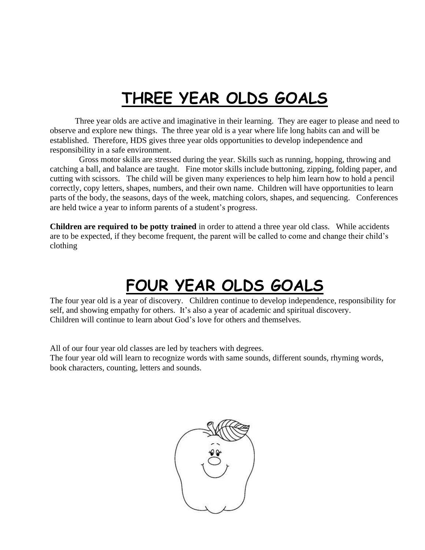## **THREE YEAR OLDS GOALS**

Three year olds are active and imaginative in their learning. They are eager to please and need to observe and explore new things. The three year old is a year where life long habits can and will be established. Therefore, HDS gives three year olds opportunities to develop independence and responsibility in a safe environment.

 Gross motor skills are stressed during the year. Skills such as running, hopping, throwing and catching a ball, and balance are taught. Fine motor skills include buttoning, zipping, folding paper, and cutting with scissors. The child will be given many experiences to help him learn how to hold a pencil correctly, copy letters, shapes, numbers, and their own name. Children will have opportunities to learn parts of the body, the seasons, days of the week, matching colors, shapes, and sequencing. Conferences are held twice a year to inform parents of a student's progress.

**Children are required to be potty trained** in order to attend a three year old class. While accidents are to be expected, if they become frequent, the parent will be called to come and change their child's clothing

## **FOUR YEAR OLDS GOALS**

The four year old is a year of discovery. Children continue to develop independence, responsibility for self, and showing empathy for others. It's also a year of academic and spiritual discovery. Children will continue to learn about God's love for others and themselves.

All of our four year old classes are led by teachers with degrees.

The four year old will learn to recognize words with same sounds, different sounds, rhyming words, book characters, counting, letters and sounds.

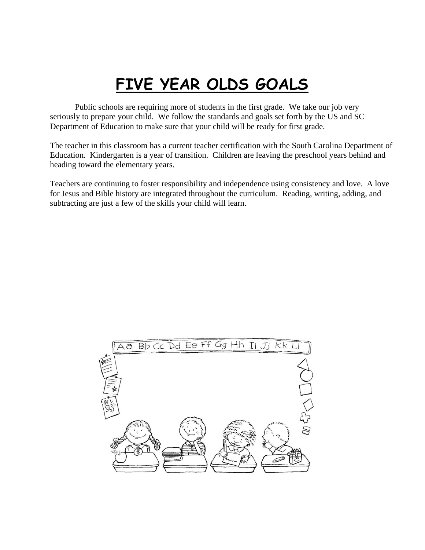## **FIVE YEAR OLDS GOALS**

Public schools are requiring more of students in the first grade. We take our job very seriously to prepare your child. We follow the standards and goals set forth by the US and SC Department of Education to make sure that your child will be ready for first grade.

The teacher in this classroom has a current teacher certification with the South Carolina Department of Education. Kindergarten is a year of transition. Children are leaving the preschool years behind and heading toward the elementary years.

Teachers are continuing to foster responsibility and independence using consistency and love. A love for Jesus and Bible history are integrated throughout the curriculum. Reading, writing, adding, and subtracting are just a few of the skills your child will learn.

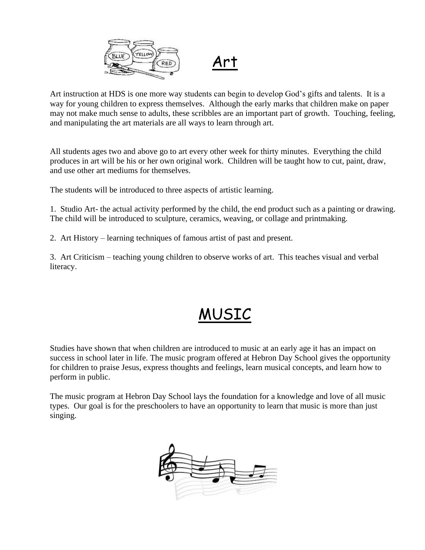

Art

Art instruction at HDS is one more way students can begin to develop God's gifts and talents. It is a way for young children to express themselves. Although the early marks that children make on paper may not make much sense to adults, these scribbles are an important part of growth. Touching, feeling, and manipulating the art materials are all ways to learn through art.

All students ages two and above go to art every other week for thirty minutes. Everything the child produces in art will be his or her own original work. Children will be taught how to cut, paint, draw, and use other art mediums for themselves.

The students will be introduced to three aspects of artistic learning.

1. Studio Art- the actual activity performed by the child, the end product such as a painting or drawing. The child will be introduced to sculpture, ceramics, weaving, or collage and printmaking.

2. Art History – learning techniques of famous artist of past and present.

3. Art Criticism – teaching young children to observe works of art. This teaches visual and verbal literacy.

## MUSIC

Studies have shown that when children are introduced to music at an early age it has an impact on success in school later in life. The music program offered at Hebron Day School gives the opportunity for children to praise Jesus, express thoughts and feelings, learn musical concepts, and learn how to perform in public.

The music program at Hebron Day School lays the foundation for a knowledge and love of all music types. Our goal is for the preschoolers to have an opportunity to learn that music is more than just singing.

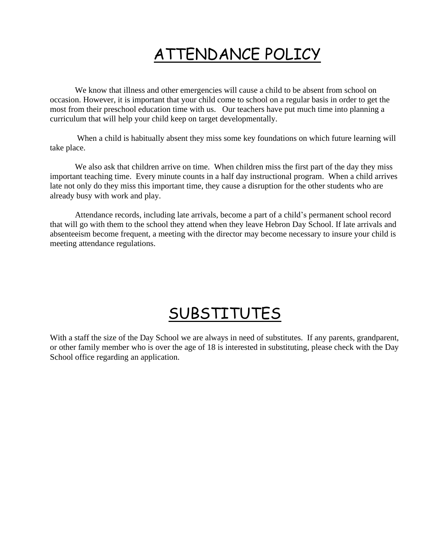## ATTENDANCE POLICY

We know that illness and other emergencies will cause a child to be absent from school on occasion. However, it is important that your child come to school on a regular basis in order to get the most from their preschool education time with us. Our teachers have put much time into planning a curriculum that will help your child keep on target developmentally.

When a child is habitually absent they miss some key foundations on which future learning will take place.

We also ask that children arrive on time. When children miss the first part of the day they miss important teaching time. Every minute counts in a half day instructional program. When a child arrives late not only do they miss this important time, they cause a disruption for the other students who are already busy with work and play.

Attendance records, including late arrivals, become a part of a child's permanent school record that will go with them to the school they attend when they leave Hebron Day School. If late arrivals and absenteeism become frequent, a meeting with the director may become necessary to insure your child is meeting attendance regulations.

## SUBSTITUTES

With a staff the size of the Day School we are always in need of substitutes. If any parents, grandparent, or other family member who is over the age of 18 is interested in substituting, please check with the Day School office regarding an application.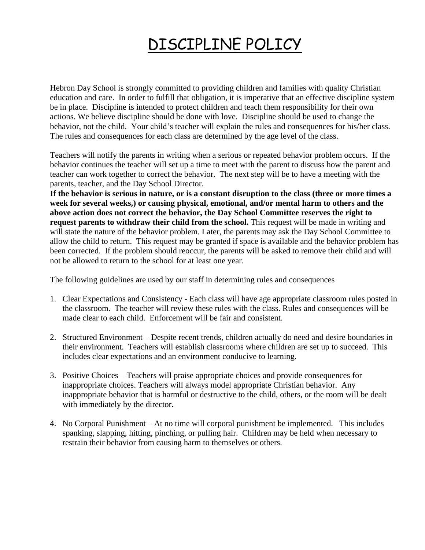## DISCIPLINE POLICY

Hebron Day School is strongly committed to providing children and families with quality Christian education and care. In order to fulfill that obligation, it is imperative that an effective discipline system be in place. Discipline is intended to protect children and teach them responsibility for their own actions. We believe discipline should be done with love. Discipline should be used to change the behavior, not the child. Your child's teacher will explain the rules and consequences for his/her class. The rules and consequences for each class are determined by the age level of the class.

Teachers will notify the parents in writing when a serious or repeated behavior problem occurs. If the behavior continues the teacher will set up a time to meet with the parent to discuss how the parent and teacher can work together to correct the behavior. The next step will be to have a meeting with the parents, teacher, and the Day School Director.

**If the behavior is serious in nature, or is a constant disruption to the class (three or more times a week for several weeks,) or causing physical, emotional, and/or mental harm to others and the above action does not correct the behavior, the Day School Committee reserves the right to request parents to withdraw their child from the school.** This request will be made in writing and will state the nature of the behavior problem. Later, the parents may ask the Day School Committee to allow the child to return. This request may be granted if space is available and the behavior problem has been corrected. If the problem should reoccur, the parents will be asked to remove their child and will not be allowed to return to the school for at least one year.

The following guidelines are used by our staff in determining rules and consequences

- 1. Clear Expectations and Consistency Each class will have age appropriate classroom rules posted in the classroom. The teacher will review these rules with the class. Rules and consequences will be made clear to each child. Enforcement will be fair and consistent.
- 2. Structured Environment Despite recent trends, children actually do need and desire boundaries in their environment. Teachers will establish classrooms where children are set up to succeed. This includes clear expectations and an environment conducive to learning.
- 3. Positive Choices Teachers will praise appropriate choices and provide consequences for inappropriate choices. Teachers will always model appropriate Christian behavior. Any inappropriate behavior that is harmful or destructive to the child, others, or the room will be dealt with immediately by the director.
- 4. No Corporal Punishment At no time will corporal punishment be implemented. This includes spanking, slapping, hitting, pinching, or pulling hair. Children may be held when necessary to restrain their behavior from causing harm to themselves or others.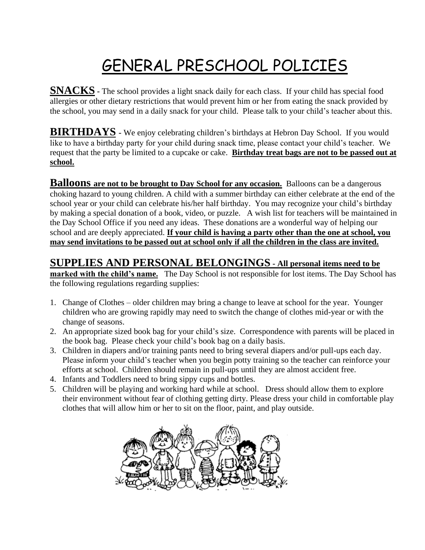## GENERAL PRESCHOOL POLICIES

**SNACKS** - The school provides a light snack daily for each class. If your child has special food allergies or other dietary restrictions that would prevent him or her from eating the snack provided by the school, you may send in a daily snack for your child. Please talk to your child's teacher about this.

**BIRTHDAYS -** We enjoy celebrating children's birthdays at Hebron Day School. If you would like to have a birthday party for your child during snack time, please contact your child's teacher. We request that the party be limited to a cupcake or cake. **Birthday treat bags are not to be passed out at school.** 

**Balloons are not to be brought to Day School for any occasion.** Balloons can be a dangerous choking hazard to young children. A child with a summer birthday can either celebrate at the end of the school year or your child can celebrate his/her half birthday. You may recognize your child's birthday by making a special donation of a book, video, or puzzle. A wish list for teachers will be maintained in the Day School Office if you need any ideas. These donations are a wonderful way of helping our school and are deeply appreciated. **If your child is having a party other than the one at school, you may send invitations to be passed out at school only if all the children in the class are invited.**

## **SUPPLIES AND PERSONAL BELONGINGS - All personal items need to be**

**marked with the child's name.** The Day School is not responsible for lost items. The Day School has the following regulations regarding supplies:

- 1. Change of Clothes older children may bring a change to leave at school for the year. Younger children who are growing rapidly may need to switch the change of clothes mid-year or with the change of seasons.
- 2. An appropriate sized book bag for your child's size. Correspondence with parents will be placed in the book bag. Please check your child's book bag on a daily basis.
- 3. Children in diapers and/or training pants need to bring several diapers and/or pull-ups each day. Please inform your child's teacher when you begin potty training so the teacher can reinforce your efforts at school. Children should remain in pull-ups until they are almost accident free.
- 4. Infants and Toddlers need to bring sippy cups and bottles.
- 5. Children will be playing and working hard while at school. Dress should allow them to explore their environment without fear of clothing getting dirty. Please dress your child in comfortable play clothes that will allow him or her to sit on the floor, paint, and play outside.

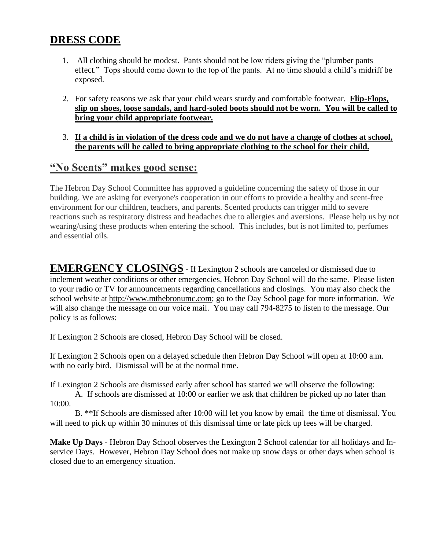## **DRESS CODE**

- 1. All clothing should be modest. Pants should not be low riders giving the "plumber pants effect." Tops should come down to the top of the pants. At no time should a child's midriff be exposed.
- 2. For safety reasons we ask that your child wears sturdy and comfortable footwear. **Flip-Flops, slip on shoes, loose sandals, and hard-soled boots should not be worn. You will be called to bring your child appropriate footwear.**
- 3. **If a child is in violation of the dress code and we do not have a change of clothes at school, the parents will be called to bring appropriate clothing to the school for their child.**

## **"No Scents" makes good sense:**

The Hebron Day School Committee has approved a guideline concerning the safety of those in our building. We are asking for everyone's cooperation in our efforts to provide a healthy and scent-free environment for our children, teachers, and parents. Scented products can trigger mild to severe reactions such as respiratory distress and headaches due to allergies and aversions. Please help us by not wearing/using these products when entering the school. This includes, but is not limited to, perfumes and essential oils.

**EMERGENCY CLOSINGS** - If Lexington 2 schools are canceled or dismissed due to inclement weather conditions or other emergencies, Hebron Day School will do the same. Please listen to your radio or TV for announcements regarding cancellations and closings. You may also check the school website at [http://www.mthebronumc.com;](http://www.mthebronumc.com/) go to the Day School page for more information. We will also change the message on our voice mail. You may call 794-8275 to listen to the message. Our policy is as follows:

If Lexington 2 Schools are closed, Hebron Day School will be closed.

If Lexington 2 Schools open on a delayed schedule then Hebron Day School will open at 10:00 a.m. with no early bird. Dismissal will be at the normal time.

If Lexington 2 Schools are dismissed early after school has started we will observe the following:

A. If schools are dismissed at 10:00 or earlier we ask that children be picked up no later than 10:00.

B. \*\*If Schools are dismissed after 10:00 will let you know by email the time of dismissal. You will need to pick up within 30 minutes of this dismissal time or late pick up fees will be charged.

**Make Up Days** - Hebron Day School observes the Lexington 2 School calendar for all holidays and Inservice Days. However, Hebron Day School does not make up snow days or other days when school is closed due to an emergency situation.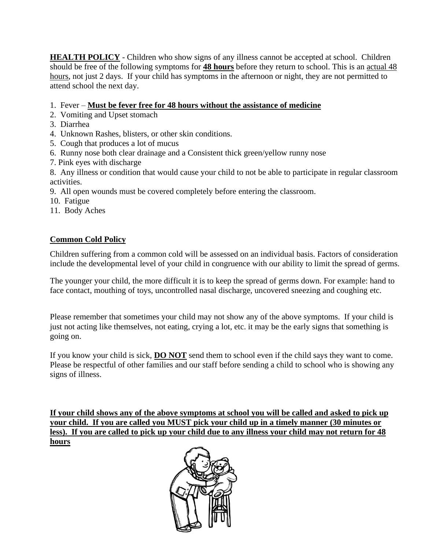**HEALTH POLICY** - Children who show signs of any illness cannot be accepted at school. Children should be free of the following symptoms for **48 hours** before they return to school. This is an actual 48 hours, not just 2 days. If your child has symptoms in the afternoon or night, they are not permitted to attend school the next day.

1. Fever – **Must be fever free for 48 hours without the assistance of medicine**

- 2. Vomiting and Upset stomach
- 3. Diarrhea
- 4. Unknown Rashes, blisters, or other skin conditions.
- 5. Cough that produces a lot of mucus
- 6. Runny nose both clear drainage and a Consistent thick green/yellow runny nose
- 7. Pink eyes with discharge

8. Any illness or condition that would cause your child to not be able to participate in regular classroom activities.

- 9. All open wounds must be covered completely before entering the classroom.
- 10. Fatigue
- 11. Body Aches

### **Common Cold Policy**

Children suffering from a common cold will be assessed on an individual basis. Factors of consideration include the developmental level of your child in congruence with our ability to limit the spread of germs.

The younger your child, the more difficult it is to keep the spread of germs down. For example: hand to face contact, mouthing of toys, uncontrolled nasal discharge, uncovered sneezing and coughing etc.

Please remember that sometimes your child may not show any of the above symptoms. If your child is just not acting like themselves, not eating, crying a lot, etc. it may be the early signs that something is going on.

If you know your child is sick, **DO NOT** send them to school even if the child says they want to come. Please be respectful of other families and our staff before sending a child to school who is showing any signs of illness.

**If your child shows any of the above symptoms at school you will be called and asked to pick up your child. If you are called you MUST pick your child up in a timely manner (30 minutes or less). If you are called to pick up your child due to any illness your child may not return for 48 hours**

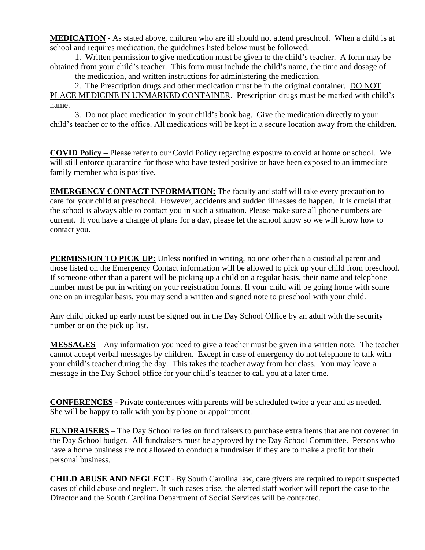**MEDICATION** - As stated above, children who are ill should not attend preschool. When a child is at school and requires medication, the guidelines listed below must be followed:

1. Written permission to give medication must be given to the child's teacher. A form may be obtained from your child's teacher. This form must include the child's name, the time and dosage of the medication, and written instructions for administering the medication.

2. The Prescription drugs and other medication must be in the original container. DO NOT PLACE MEDICINE IN UNMARKED CONTAINER. Prescription drugs must be marked with child's name.

3. Do not place medication in your child's book bag. Give the medication directly to your child's teacher or to the office. All medications will be kept in a secure location away from the children.

**COVID Policy –** Please refer to our Covid Policy regarding exposure to covid at home or school. We will still enforce quarantine for those who have tested positive or have been exposed to an immediate family member who is positive.

**EMERGENCY CONTACT INFORMATION:** The faculty and staff will take every precaution to care for your child at preschool. However, accidents and sudden illnesses do happen. It is crucial that the school is always able to contact you in such a situation. Please make sure all phone numbers are current. If you have a change of plans for a day, please let the school know so we will know how to contact you.

**PERMISSION TO PICK UP:** Unless notified in writing, no one other than a custodial parent and those listed on the Emergency Contact information will be allowed to pick up your child from preschool. If someone other than a parent will be picking up a child on a regular basis, their name and telephone number must be put in writing on your registration forms. If your child will be going home with some one on an irregular basis, you may send a written and signed note to preschool with your child.

Any child picked up early must be signed out in the Day School Office by an adult with the security number or on the pick up list.

**MESSAGES** – Any information you need to give a teacher must be given in a written note. The teacher cannot accept verbal messages by children. Except in case of emergency do not telephone to talk with your child's teacher during the day. This takes the teacher away from her class. You may leave a message in the Day School office for your child's teacher to call you at a later time.

**CONFERENCES** - Private conferences with parents will be scheduled twice a year and as needed. She will be happy to talk with you by phone or appointment.

**FUNDRAISERS** – The Day School relies on fund raisers to purchase extra items that are not covered in the Day School budget. All fundraisers must be approved by the Day School Committee. Persons who have a home business are not allowed to conduct a fundraiser if they are to make a profit for their personal business.

**CHILD ABUSE AND NEGLECT** - By South Carolina law, care givers are required to report suspected cases of child abuse and neglect. If such cases arise, the alerted staff worker will report the case to the Director and the South Carolina Department of Social Services will be contacted.